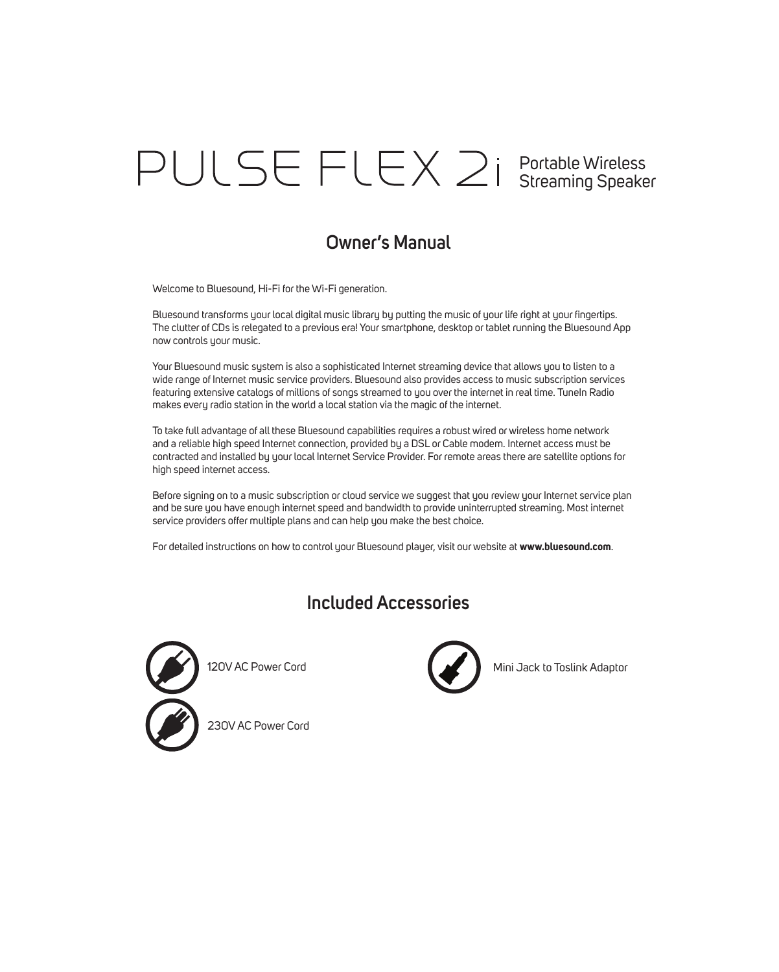# Portable Wireless Streaming Speaker

## **Owner's Manual**

Welcome to Bluesound, Hi-Fi for the Wi-Fi generation.

Bluesound transforms your local digital music library by putting the music of your life right at your fingertips. The clutter of CDs is relegated to a previous era! Your smartphone, desktop or tablet running the Bluesound App now controls your music.

Your Bluesound music system is also a sophisticated Internet streaming device that allows you to listen to a wide range of Internet music service providers. Bluesound also provides access to music subscription services featuring extensive catalogs of millions of songs streamed to you over the internet in real time. TuneIn Radio makes every radio station in the world a local station via the magic of the internet.

To take full advantage of all these Bluesound capabilities requires a robust wired or wireless home network and a reliable high speed Internet connection, provided by a DSL or Cable modem. Internet access must be contracted and installed by your local Internet Service Provider. For remote areas there are satellite options for high speed internet access.

Before signing on to a music subscription or cloud service we suggest that you review your Internet service plan and be sure you have enough internet speed and bandwidth to provide uninterrupted streaming. Most internet service providers offer multiple plans and can help you make the best choice.

For detailed instructions on how to control your Bluesound player, visit our website at **www.bluesound.com**.

## **Included Accessories**



120V AC Power Cord



Mini Jack to Toslink Adaptor

230V AC Power Cord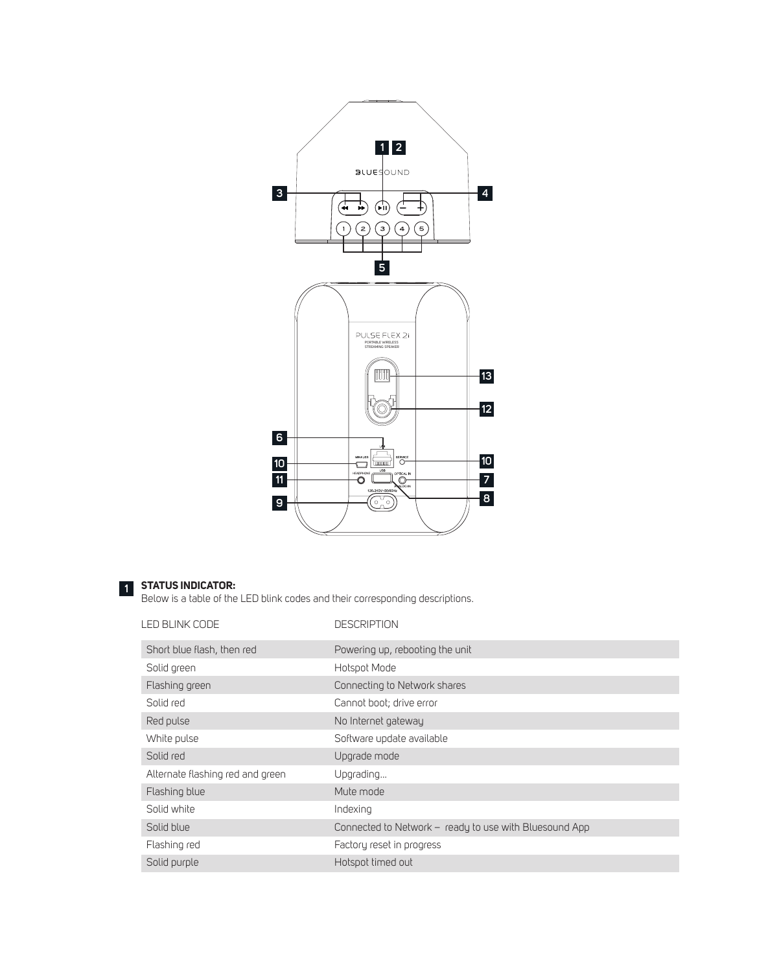

#### **STATUS INDICATOR: 1**

Below is a table of the LED blink codes and their corresponding descriptions.

| LED BLINK CODE                   | <b>DESCRIPTION</b>                                     |
|----------------------------------|--------------------------------------------------------|
| Short blue flash, then red       | Powering up, rebooting the unit                        |
| Solid green                      | Hotspot Mode                                           |
| Flashing green                   | Connecting to Network shares                           |
| Solid red                        | Cannot boot; drive error                               |
| Red pulse                        | No Internet gateway                                    |
| White pulse                      | Software update available                              |
| Solid red                        | Upgrade mode                                           |
| Alternate flashing red and green | Upgrading                                              |
| Flashing blue                    | Mute mode                                              |
| Solid white                      | Indexing                                               |
| Solid blue                       | Connected to Network - ready to use with Bluesound App |
| Flashing red                     | Factory reset in progress                              |
| Solid purple                     | Hotspot timed out                                      |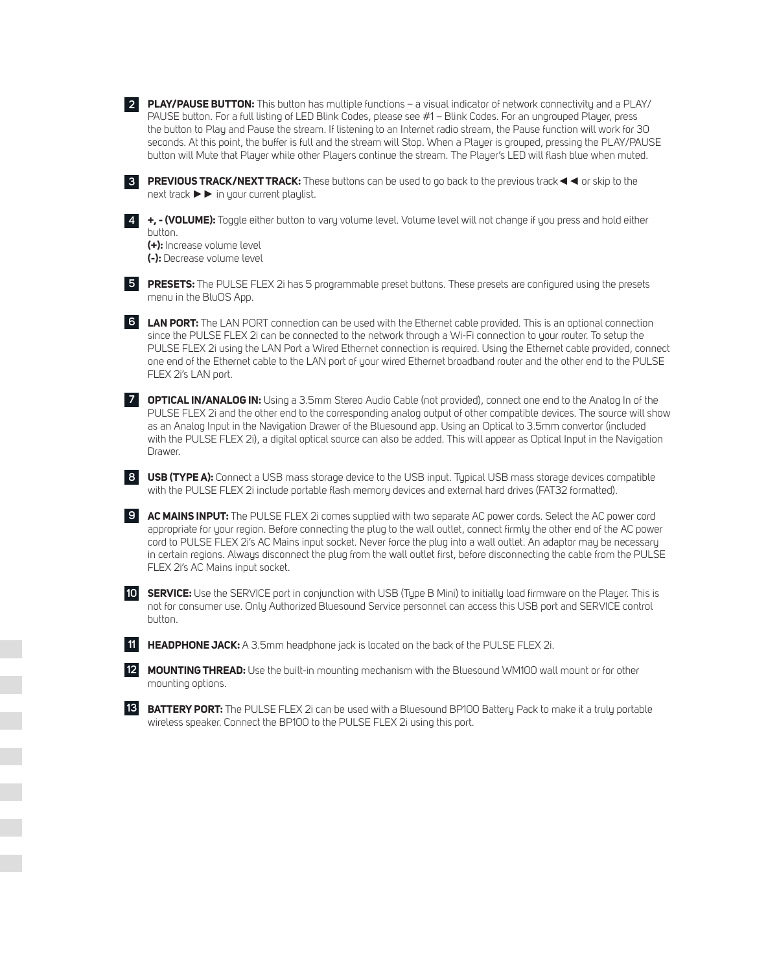**PLAY/PAUSE BUTTON:** This button has multiple functions – a visual indicator of network connectivity and a PLAY/ **2** PAUSE button. For a full listing of LED Blink Codes, please see #1 – Blink Codes. For an ungrouped Player, press the button to Play and Pause the stream. If listening to an Internet radio stream, the Pause function will work for 30 seconds. At this point, the buffer is full and the stream will Stop. When a Player is grouped, pressing the PLAY/PAUSE button will Mute that Player while other Players continue the stream. The Player's LED will flash blue when muted.

**PREVIOUS TRACK/NEXT TRACK:** These buttons can be used to go back to the previous track◄◄ or skip to the **3** next track ►► in your current playlist.

**+, - (VOLUME):** Toggle either button to vary volume level. Volume level will not change if you press and hold either **4** button.

**(+):** Increase volume level **(-):** Decrease volume level

**PRESETS:** The PULSE FLEX 2i has 5 programmable preset buttons. These presets are configured using the presets **5** menu in the BluOS App.

**LAN PORT:** The LAN PORT connection can be used with the Ethernet cable provided. This is an optional connection **6** since the PULSE FLEX 2i can be connected to the network through a Wi-Fi connection to your router. To setup the PULSE FLEX 2i using the LAN Port a Wired Ethernet connection is required. Using the Ethernet cable provided, connect one end of the Ethernet cable to the LAN port of your wired Ethernet broadband router and the other end to the PULSE FLEX 2i's LAN port.

**OPTICAL IN/ANALOG IN:** Using a 3.5mm Stereo Audio Cable (not provided), connect one end to the Analog In of the **7** PULSE FLEX 2i and the other end to the corresponding analog output of other compatible devices. The source will show as an Analog Input in the Navigation Drawer of the Bluesound app. Using an Optical to 3.5mm convertor (included with the PULSE FLEX 2i), a digital optical source can also be added. This will appear as Optical Input in the Navigation Drawer.

**USB (TYPE A):** Connect a USB mass storage device to the USB input. Typical USB mass storage devices compatible **8** with the PULSE FLEX 2i include portable flash memory devices and external hard drives (FAT32 formatted).

**AC MAINS INPUT:** The PULSE FLEX 2i comes supplied with two separate AC power cords. Select the AC power cord **9** appropriate for your region. Before connecting the plug to the wall outlet, connect firmly the other end of the AC power cord to PULSE FLEX 2i's AC Mains input socket. Never force the plug into a wall outlet. An adaptor may be necessary in certain regions. Always disconnect the plug from the wall outlet first, before disconnecting the cable from the PULSE FLEX 2i's AC Mains input socket.

**SERVICE:** Use the SERVICE port in conjunction with USB (Type B Mini) to initially load firmware on the Player. This is **10** not for consumer use. Only Authorized Bluesound Service personnel can access this USB port and SERVICE control button.

**HEADPHONE JACK:** A 3.5mm headphone jack is located on the back of the PULSE FLEX 2i. **11**

**MOUNTING THREAD:** Use the built-in mounting mechanism with the Bluesound WM100 wall mount or for other **12** mounting options.

**BATTERY PORT:** The PULSE FLEX 2i can be used with a Bluesound BP100 Battery Pack to make it a truly portable wireless speaker. Connect the BP100 to the PULSE FLEX 2i using this port.